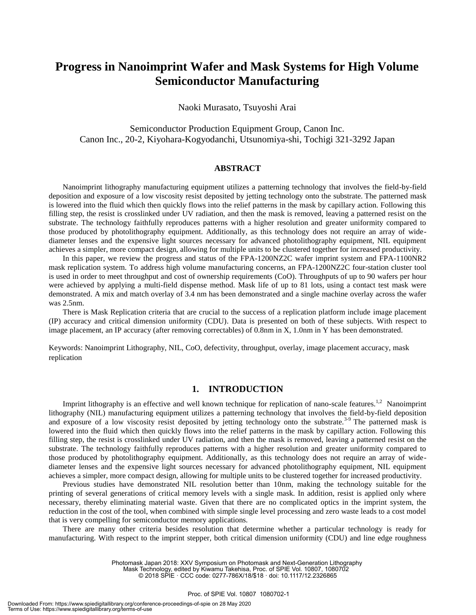# **Progress in Nanoimprint Wafer and Mask Systems for High Volume Semiconductor Manufacturing**

Naoki Murasato, Tsuyoshi Arai

Semiconductor Production Equipment Group, Canon Inc. Canon Inc., 20-2, Kiyohara-Kogyodanchi, Utsunomiya-shi, Tochigi 321-3292 Japan

## **ABSTRACT**

Nanoimprint lithography manufacturing equipment utilizes a patterning technology that involves the field-by-field deposition and exposure of a low viscosity resist deposited by jetting technology onto the substrate. The patterned mask is lowered into the fluid which then quickly flows into the relief patterns in the mask by capillary action. Following this filling step, the resist is crosslinked under UV radiation, and then the mask is removed, leaving a patterned resist on the substrate. The technology faithfully reproduces patterns with a higher resolution and greater uniformity compared to those produced by photolithography equipment. Additionally, as this technology does not require an array of widediameter lenses and the expensive light sources necessary for advanced photolithography equipment, NIL equipment achieves a simpler, more compact design, allowing for multiple units to be clustered together for increased productivity.

In this paper, we review the progress and status of the FPA-1200NZ2C wafer imprint system and FPA-1100NR2 mask replication system. To address high volume manufacturing concerns, an FPA-1200NZ2C four-station cluster tool is used in order to meet throughput and cost of ownership requirements (CoO). Throughputs of up to 90 wafers per hour were achieved by applying a multi-field dispense method. Mask life of up to 81 lots, using a contact test mask were demonstrated. A mix and match overlay of 3.4 nm has been demonstrated and a single machine overlay across the wafer was 2.5nm.

There is Mask Replication criteria that are crucial to the success of a replication platform include image placement (IP) accuracy and critical dimension uniformity (CDU). Data is presented on both of these subjects. With respect to image placement, an IP accuracy (after removing correctables) of 0.8nm in X, 1.0nm in Y has been demonstrated.

Keywords: Nanoimprint Lithography, NIL, CoO, defectivity, throughput, overlay, image placement accuracy, mask replication

# **1. INTRODUCTION**

Imprint lithography is an effective and well known technique for replication of nano-scale features.<sup>1,2</sup> Nanoimprint lithography (NIL) manufacturing equipment utilizes a patterning technology that involves the field-by-field deposition and exposure of a low viscosity resist deposited by jetting technology onto the substrate.<sup>3-9</sup> The patterned mask is lowered into the fluid which then quickly flows into the relief patterns in the mask by capillary action. Following this filling step, the resist is crosslinked under UV radiation, and then the mask is removed, leaving a patterned resist on the substrate. The technology faithfully reproduces patterns with a higher resolution and greater uniformity compared to those produced by photolithography equipment. Additionally, as this technology does not require an array of widediameter lenses and the expensive light sources necessary for advanced photolithography equipment, NIL equipment achieves a simpler, more compact design, allowing for multiple units to be clustered together for increased productivity.

Previous studies have demonstrated NIL resolution better than 10nm, making the technology suitable for the printing of several generations of critical memory levels with a single mask. In addition, resist is applied only where necessary, thereby eliminating material waste. Given that there are no complicated optics in the imprint system, the reduction in the cost of the tool, when combined with simple single level processing and zero waste leads to a cost model that is very compelling for semiconductor memory applications.

There are many other criteria besides resolution that determine whether a particular technology is ready for manufacturing. With respect to the imprint stepper, both critical dimension uniformity (CDU) and line edge roughness

Mask Technology, edited by Kiwamu Takehisa, Proc. of SPIE Vol. 10807, 1080702

Photomask Japan 2018: XXV Symposium on Photomask and Next-Generation Lithography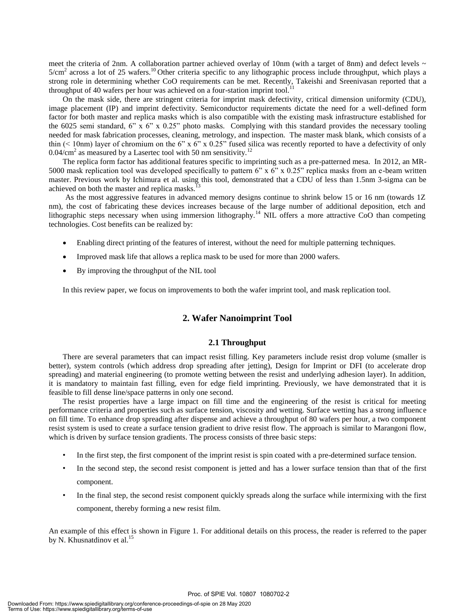meet the criteria of 2nm. A collaboration partner achieved overlay of 10nm (with a target of 8nm) and defect levels  $\sim$  $5/cm<sup>2</sup>$  across a lot of 25 wafers.<sup>10</sup> Other criteria specific to any lithographic process include throughput, which plays a strong role in determining whether CoO requirements can be met. Recently, Takeishi and Sreenivasan reported that a throughput of 40 wafers per hour was achieved on a four-station imprint tool.

On the mask side, there are stringent criteria for imprint mask defectivity, critical dimension uniformity (CDU), image placement (IP) and imprint defectivity. Semiconductor requirements dictate the need for a well-defined form factor for both master and replica masks which is also compatible with the existing mask infrastructure established for the 6025 semi standard, 6" x 6" x 0.25" photo masks. Complying with this standard provides the necessary tooling needed for mask fabrication processes, cleaning, metrology, and inspection. The master mask blank, which consists of a thin ( $\leq 10$ nm) layer of chromium on the 6" x 6" x 0.25" fused silica was recently reported to have a defectivity of only 0.04/cm<sup>2</sup> as measured by a Lasertec tool with 50 nm sensitivity.<sup>12</sup>

The replica form factor has additional features specific to imprinting such as a pre-patterned mesa. In 2012, an MR-5000 mask replication tool was developed specifically to pattern  $6" \times 6" \times 0.25"$  replica masks from an e-beam written master. Previous work by Ichimura et al. using this tool, demonstrated that a CDU of less than 1.5nm 3-sigma can be achieved on both the master and replica masks.13

As the most aggressive features in advanced memory designs continue to shrink below 15 or 16 nm (towards 1Z nm), the cost of fabricating these devices increases because of the large number of additional deposition, etch and lithographic steps necessary when using immersion lithography.<sup>14</sup> NIL offers a more attractive CoO than competing technologies. Cost benefits can be realized by:

- Enabling direct printing of the features of interest, without the need for multiple patterning techniques.
- Improved mask life that allows a replica mask to be used for more than 2000 wafers.
- By improving the throughput of the NIL tool

In this review paper, we focus on improvements to both the wafer imprint tool, and mask replication tool.

# **2. Wafer Nanoimprint Tool**

#### **2.1 Throughput**

There are several parameters that can impact resist filling. Key parameters include resist drop volume (smaller is better), system controls (which address drop spreading after jetting), Design for Imprint or DFI (to accelerate drop spreading) and material engineering (to promote wetting between the resist and underlying adhesion layer). In addition, it is mandatory to maintain fast filling, even for edge field imprinting. Previously, we have demonstrated that it is feasible to fill dense line/space patterns in only one second.

The resist properties have a large impact on fill time and the engineering of the resist is critical for meeting performance criteria and properties such as surface tension, viscosity and wetting. Surface wetting has a strong influence on fill time. To enhance drop spreading after dispense and achieve a throughput of 80 wafers per hour, a two component resist system is used to create a surface tension gradient to drive resist flow. The approach is similar to Marangoni flow, which is driven by surface tension gradients. The process consists of three basic steps:

- In the first step, the first component of the imprint resist is spin coated with a pre-determined surface tension.
- In the second step, the second resist component is jetted and has a lower surface tension than that of the first component.
- In the final step, the second resist component quickly spreads along the surface while intermixing with the first component, thereby forming a new resist film.

An example of this effect is shown in Figure 1. For additional details on this process, the reader is referred to the paper by N. Khusnatdinov et al. $^{15}$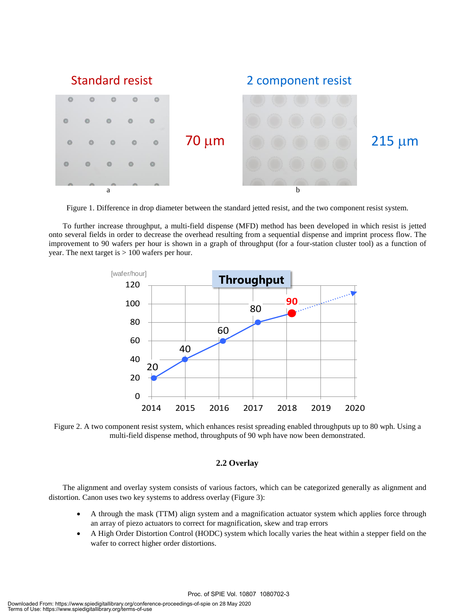

Figure 1. Difference in drop diameter between the standard jetted resist, and the two component resist system.

To further increase throughput, a multi-field dispense (MFD) method has been developed in which resist is jetted onto several fields in order to decrease the overhead resulting from a sequential dispense and imprint process flow. The improvement to 90 wafers per hour is shown in a graph of throughput (for a four-station cluster tool) as a function of year. The next target is > 100 wafers per hour.



Figure 2. A two component resist system, which enhances resist spreading enabled throughputs up to 80 wph. Using a multi-field dispense method, throughputs of 90 wph have now been demonstrated.

# **2.2 Overlay**

The alignment and overlay system consists of various factors, which can be categorized generally as alignment and distortion. Canon uses two key systems to address overlay (Figure 3):

- A through the mask (TTM) align system and a magnification actuator system which applies force through an array of piezo actuators to correct for magnification, skew and trap errors
- A High Order Distortion Control (HODC) system which locally varies the heat within a stepper field on the wafer to correct higher order distortions.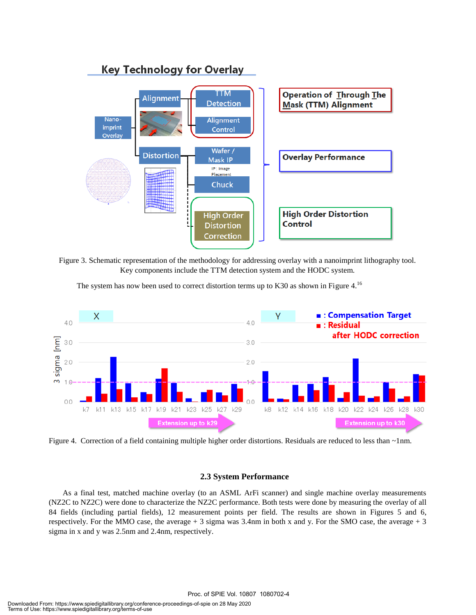

Figure 3. Schematic representation of the methodology for addressing overlay with a nanoimprint lithography tool. Key components include the TTM detection system and the HODC system.





Figure 4. Correction of a field containing multiple higher order distortions. Residuals are reduced to less than ~1nm.

## **2.3 System Performance**

As a final test, matched machine overlay (to an ASML ArFi scanner) and single machine overlay measurements (NZ2C to NZ2C) were done to characterize the NZ2C performance. Both tests were done by measuring the overlay of all 84 fields (including partial fields), 12 measurement points per field. The results are shown in Figures 5 and 6, respectively. For the MMO case, the average + 3 sigma was 3.4nm in both x and y. For the SMO case, the average + 3 sigma in x and y was 2.5nm and 2.4nm, respectively.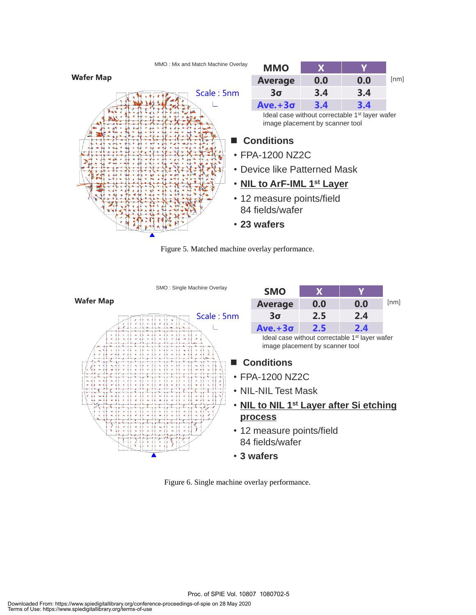

Figure 5. Matched machine overlay performance.



Figure 6. Single machine overlay performance.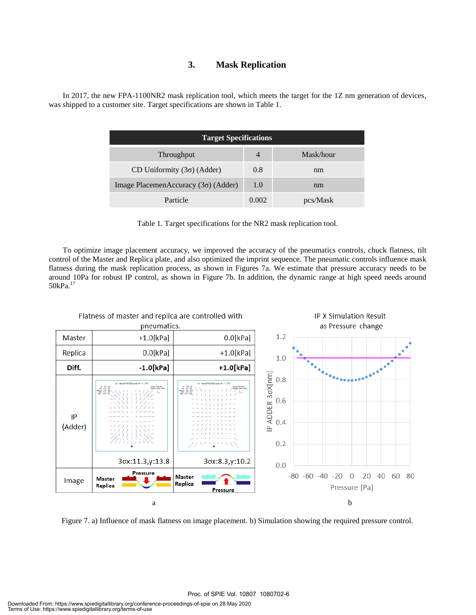# **3. Mask Replication**

In 2017, the new FPA-1100NR2 mask replication tool, which meets the target for the 1Z nm generation of devices, was shipped to a customer site. Target specifications are shown in Table 1.

| <b>Target Specifications</b>               |                |           |
|--------------------------------------------|----------------|-----------|
| Throughput                                 | $\overline{4}$ | Mask/hour |
| CD Uniformity $(3\sigma)$ (Adder)          | 0.8            | nm        |
| Image PlacemenAccuracy $(3\sigma)$ (Adder) | 1.0            | nm        |
| Particle                                   | 0.002          | pcs/Mask  |



To optimize image placement accuracy, we improved the accuracy of the pneumatics controls, chuck flatness, tilt control of the Master and Replica plate, and also optimized the imprint sequence. The pneumatic controls influence mask flatness during the mask replication process, as shown in Figures 7a. We estimate that pressure accuracy needs to be around 10Pa for robust IP control, as shown in Figure 7b. In addition, the dynamic range at high speed needs around 50kPa.<sup>17</sup>



Figure 7. a) Influence of mask flatness on image placement. b) Simulation showing the required pressure control.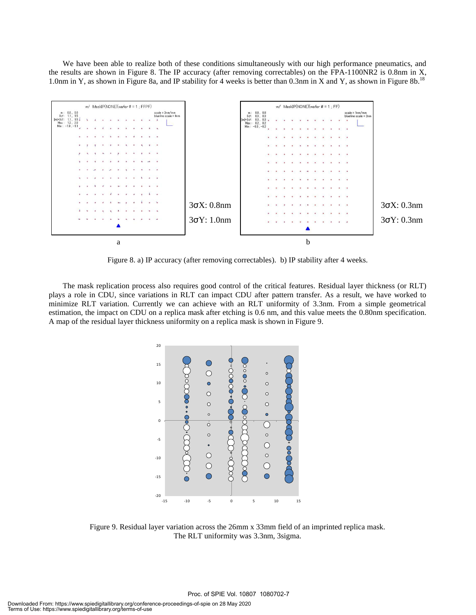We have been able to realize both of these conditions simultaneously with our high performance pneumatics, and the results are shown in Figure 8. The IP accuracy (after removing correctables) on the FPA-1100NR2 is 0.8nm in X, 1.0nm in Y, as shown in Figure 8a, and IP stability for 4 weeks is better than 0.3nm in X and Y, as shown in Figure 8b.<sup>18</sup>



Figure 8. a) IP accuracy (after removing correctables). b) IP stability after 4 weeks.

The mask replication process also requires good control of the critical features. Residual layer thickness (or RLT) plays a role in CDU, since variations in RLT can impact CDU after pattern transfer. As a result, we have worked to minimize RLT variation. Currently we can achieve with an RLT uniformity of 3.3nm. From a simple geometrical estimation, the impact on CDU on a replica mask after etching is 0.6 nm, and this value meets the 0.80nm specification. A map of the residual layer thickness uniformity on a replica mask is shown in Figure 9.



Figure 9. Residual layer variation across the 26mm x 33mm field of an imprinted replica mask. The RLT uniformity was 3.3nm, 3sigma.